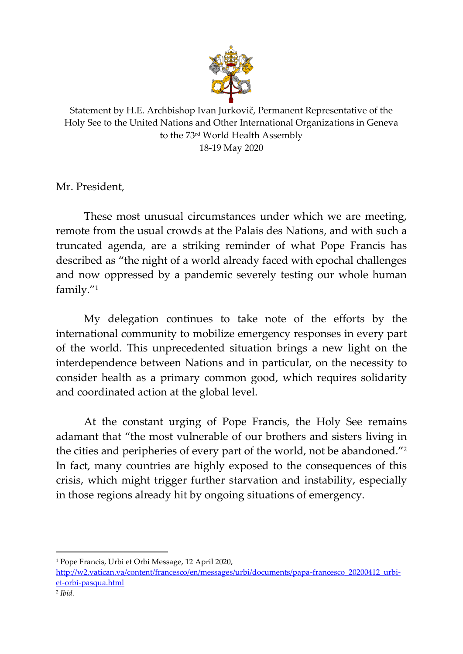

Statement by H.E. Archbishop Ivan Jurkovič, Permanent Representative of the Holy See to the United Nations and Other International Organizations in Geneva to the 73rd World Health Assembly 18-19 May 2020

Mr. President,

These most unusual circumstances under which we are meeting, remote from the usual crowds at the Palais des Nations, and with such a truncated agenda, are a striking reminder of what Pope Francis has described as "the night of a world already faced with epochal challenges and now oppressed by a pandemic severely testing our whole human family." 1

My delegation continues to take note of the efforts by the international community to mobilize emergency responses in every part of the world. This unprecedented situation brings a new light on the interdependence between Nations and in particular, on the necessity to consider health as a primary common good, which requires solidarity and coordinated action at the global level.

At the constant urging of Pope Francis, the Holy See remains adamant that "the most vulnerable of our brothers and sisters living in the cities and peripheries of every part of the world, not be abandoned." 2 In fact, many countries are highly exposed to the consequences of this crisis, which might trigger further starvation and instability, especially in those regions already hit by ongoing situations of emergency.

<sup>1</sup> Pope Francis, Urbi et Orbi Message, 12 April 2020,

[http://w2.vatican.va/content/francesco/en/messages/urbi/documents/papa-francesco\\_20200412\\_urbi](http://w2.vatican.va/content/francesco/en/messages/urbi/documents/papa-francesco_20200412_urbi-et-orbi-pasqua.html)[et-orbi-pasqua.html](http://w2.vatican.va/content/francesco/en/messages/urbi/documents/papa-francesco_20200412_urbi-et-orbi-pasqua.html)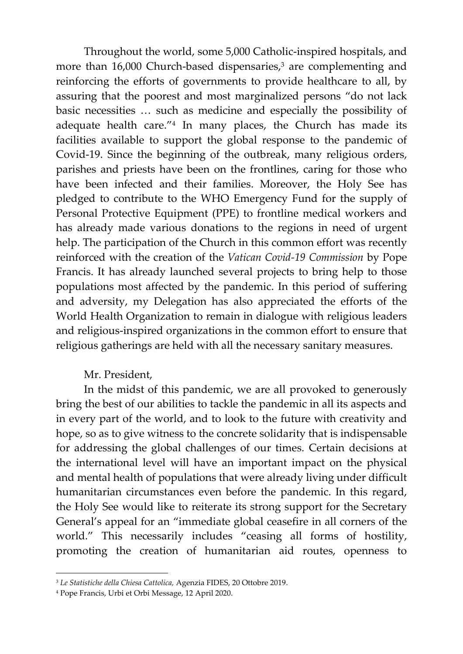Throughout the world, some 5,000 Catholic-inspired hospitals, and more than 16,000 Church-based dispensaries, <sup>3</sup> are complementing and reinforcing the efforts of governments to provide healthcare to all, by assuring that the poorest and most marginalized persons "do not lack basic necessities … such as medicine and especially the possibility of adequate health care." 4 In many places, the Church has made its facilities available to support the global response to the pandemic of Covid-19. Since the beginning of the outbreak, many religious orders, parishes and priests have been on the frontlines, caring for those who have been infected and their families. Moreover, the Holy See has pledged to contribute to the WHO Emergency Fund for the supply of Personal Protective Equipment (PPE) to frontline medical workers and has already made various donations to the regions in need of urgent help. The participation of the Church in this common effort was recently reinforced with the creation of the *Vatican Covid-19 Commission* by Pope Francis. It has already launched several projects to bring help to those populations most affected by the pandemic. In this period of suffering and adversity, my Delegation has also appreciated the efforts of the World Health Organization to remain in dialogue with religious leaders and religious-inspired organizations in the common effort to ensure that religious gatherings are held with all the necessary sanitary measures.

## Mr. President,

In the midst of this pandemic, we are all provoked to generously bring the best of our abilities to tackle the pandemic in all its aspects and in every part of the world, and to look to the future with creativity and hope, so as to give witness to the concrete solidarity that is indispensable for addressing the global challenges of our times. Certain decisions at the international level will have an important impact on the physical and mental health of populations that were already living under difficult humanitarian circumstances even before the pandemic. In this regard, the Holy See would like to reiterate its strong support for the Secretary General's appeal for an "immediate global ceasefire in all corners of the world." This necessarily includes "ceasing all forms of hostility, promoting the creation of humanitarian aid routes, openness to

<sup>3</sup> *Le Statistiche della Chiesa Cattolica,* Agenzia FIDES, 20 Ottobre 2019.

<sup>4</sup> Pope Francis, Urbi et Orbi Message, 12 April 2020.